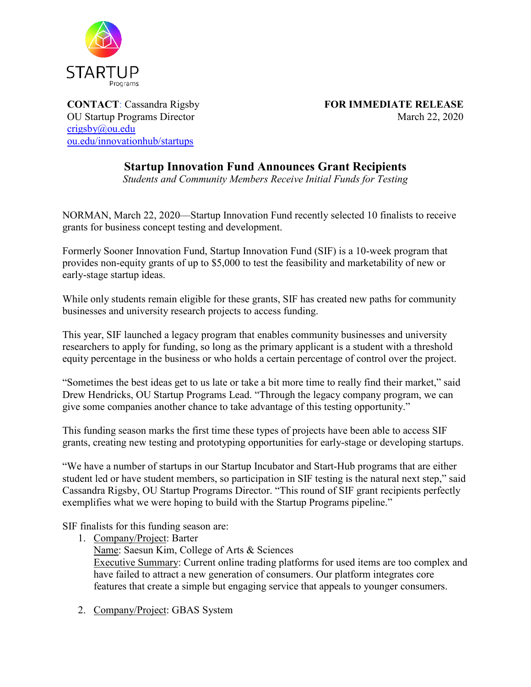

[crigsby@ou.edu](mailto:crigsby@ou.edu;daytenisrael@ou.edu?subject=Follow-Up%20to%20Press%20Release) [ou.edu/innovationhub/startups](https://www.ou.edu/innovationhub/startups)

**CONTACT**: Cassandra Rigsby **FOR IMMEDIATE RELEASE** OU Startup Programs Director March 22, 2020

## **Startup Innovation Fund Announces Grant Recipients**

*Students and Community Members Receive Initial Funds for Testing*

NORMAN, March 22, 2020—Startup Innovation Fund recently selected 10 finalists to receive grants for business concept testing and development.

Formerly Sooner Innovation Fund, Startup Innovation Fund (SIF) is a 10-week program that provides non-equity grants of up to \$5,000 to test the feasibility and marketability of new or early-stage startup ideas.

While only students remain eligible for these grants, SIF has created new paths for community businesses and university research projects to access funding.

This year, SIF launched a legacy program that enables community businesses and university researchers to apply for funding, so long as the primary applicant is a student with a threshold equity percentage in the business or who holds a certain percentage of control over the project.

"Sometimes the best ideas get to us late or take a bit more time to really find their market," said Drew Hendricks, OU Startup Programs Lead. "Through the legacy company program, we can give some companies another chance to take advantage of this testing opportunity."

This funding season marks the first time these types of projects have been able to access SIF grants, creating new testing and prototyping opportunities for early-stage or developing startups.

"We have a number of startups in our Startup Incubator and Start-Hub programs that are either student led or have student members, so participation in SIF testing is the natural next step," said Cassandra Rigsby, OU Startup Programs Director. "This round of SIF grant recipients perfectly exemplifies what we were hoping to build with the Startup Programs pipeline."

SIF finalists for this funding season are:

- 1. Company/Project: Barter Name: Saesun Kim, College of Arts & Sciences Executive Summary: Current online trading platforms for used items are too complex and have failed to attract a new generation of consumers. Our platform integrates core features that create a simple but engaging service that appeals to younger consumers.
- 2. Company/Project: GBAS System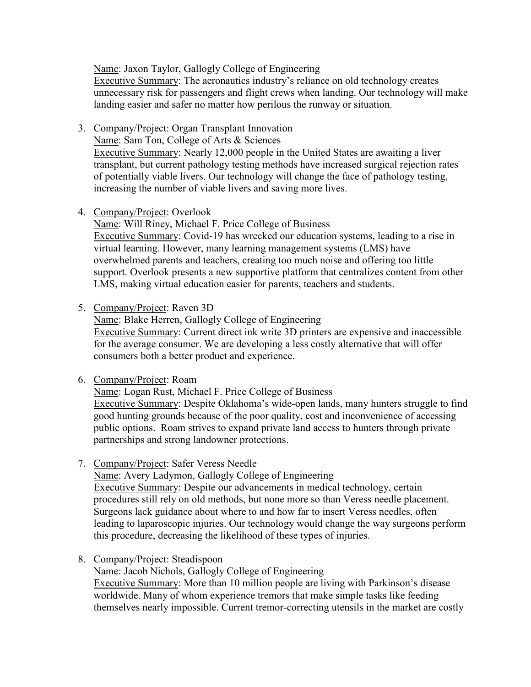Name: Jaxon Taylor, Gallogly College of Engineering

Executive Summary: The aeronautics industry's reliance on old technology creates unnecessary risk for passengers and flight crews when landing. Our technology will make landing easier and safer no matter how perilous the runway or situation.

3. Company/Project: Organ Transplant Innovation

Name: Sam Ton, College of Arts & Sciences

Executive Summary: Nearly 12,000 people in the United States are awaiting a liver transplant, but current pathology testing methods have increased surgical rejection rates of potentially viable livers. Our technology will change the face of pathology testing, increasing the number of viable livers and saving more lives.

4. Company/Project: Overlook

Name: Will Riney, Michael F. Price College of Business Executive Summary: Covid-19 has wrecked our education systems, leading to a rise in virtual learning. However, many learning management systems (LMS) have overwhelmed parents and teachers, creating too much noise and offering too little support. Overlook presents a new supportive platform that centralizes content from other LMS, making virtual education easier for parents, teachers and students.

5. Company/Project: Raven 3D

Name: Blake Herren, Gallogly College of Engineering Executive Summary: Current direct ink write 3D printers are expensive and inaccessible for the average consumer. We are developing a less costly alternative that will offer consumers both a better product and experience.

6. Company/Project: Roam

Name: Logan Rust, Michael F. Price College of Business

Executive Summary: Despite Oklahoma's wide-open lands, many hunters struggle to find good hunting grounds because of the poor quality, cost and inconvenience of accessing public options. Roam strives to expand private land access to hunters through private partnerships and strong landowner protections.

7. Company/Project: Safer Veress Needle

Name: Avery Ladymon, Gallogly College of Engineering Executive Summary: Despite our advancements in medical technology, certain procedures still rely on old methods, but none more so than Veress needle placement. Surgeons lack guidance about where to and how far to insert Veress needles, often leading to laparoscopic injuries. Our technology would change the way surgeons perform this procedure, decreasing the likelihood of these types of injuries.

8. Company/Project: Steadispoon

Name: Jacob Nichols, Gallogly College of Engineering

Executive Summary: More than 10 million people are living with Parkinson's disease worldwide. Many of whom experience tremors that make simple tasks like feeding themselves nearly impossible. Current tremor-correcting utensils in the market are costly